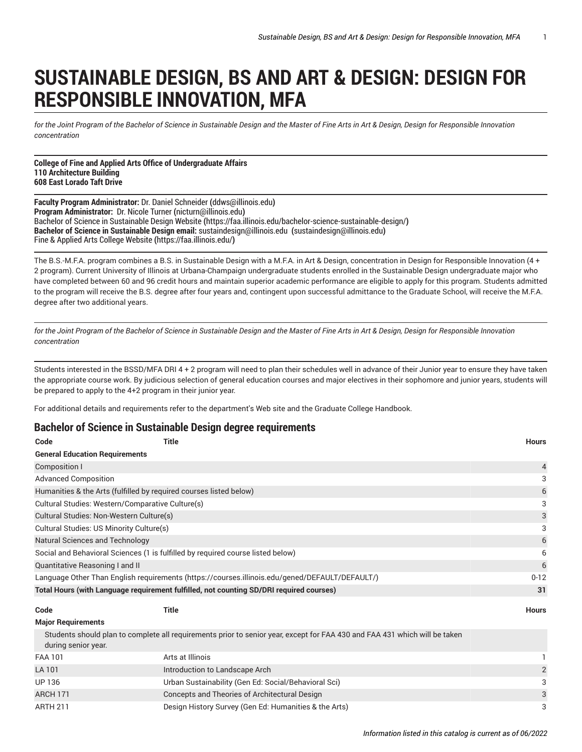## **SUSTAINABLE DESIGN, BS AND ART & DESIGN: DESIGN FOR RESPONSIBLE INNOVATION, MFA**

for the Joint Program of the Bachelor of Science in Sustainable Design and the Master of Fine Arts in Art & Design, Design for Responsible Innovation *concentration*

**College of Fine and Applied Arts Office of Undergraduate Affairs 110 Architecture Building 608 East Lorado Taft Drive**

**Faculty Program Administrator:** Dr. Daniel [Schneider](mailto:ddws@illinois.edu) **(**<ddws@illinois.edu>**) Program Administrator:** Dr. Nicole [Turner](mailto:nicturn@illinois.edu) **(**<nicturn@illinois.edu>**)** Bachelor of Science in [Sustainable](https://faa.illinois.edu/bachelor-science-sustainable-design/) Design Website **(**<https://faa.illinois.edu/bachelor-science-sustainable-design/>**) Bachelor of Science in Sustainable Design email:** [sustaindesign@illinois.edu](mailto:sustaindesign@illinois.edu)  **(**<sustaindesign@illinois.edu>**)** Fine & Applied Arts College [Website](https://faa.illinois.edu/) **(**<https://faa.illinois.edu/>**)**

The B.S.-M.F.A. program combines a B.S. in Sustainable Design with a M.F.A. in Art & Design, concentration in Design for Responsible Innovation (4 + 2 program). Current University of Illinois at Urbana-Champaign undergraduate students enrolled in the Sustainable Design undergraduate major who have completed between 60 and 96 credit hours and maintain superior academic performance are eligible to apply for this program. Students admitted to the program will receive the B.S. degree after four years and, contingent upon successful admittance to the Graduate School, will receive the M.F.A. degree after two additional years.

for the Joint Program of the Bachelor of Science in Sustainable Design and the Master of Fine Arts in Art & Design, Design for Responsible Innovation *concentration*

Students interested in the BSSD/MFA DRI 4 + 2 program will need to plan their schedules well in advance of their Junior year to ensure they have taken the appropriate course work. By judicious selection of general education courses and major electives in their sophomore and junior years, students will be prepared to apply to the 4+2 program in their junior year.

For additional details and requirements refer to the department's Web site and the Graduate College Handbook.

## **Bachelor of Science in Sustainable Design degree requirements**

| Code                                                                                                       | <b>Title</b>                                                                                                               | <b>Hours</b>            |  |  |  |
|------------------------------------------------------------------------------------------------------------|----------------------------------------------------------------------------------------------------------------------------|-------------------------|--|--|--|
| <b>General Education Requirements</b>                                                                      |                                                                                                                            |                         |  |  |  |
| <b>Composition I</b>                                                                                       |                                                                                                                            | 4                       |  |  |  |
| <b>Advanced Composition</b>                                                                                |                                                                                                                            |                         |  |  |  |
| Humanities & the Arts (fulfilled by required courses listed below)                                         |                                                                                                                            |                         |  |  |  |
| Cultural Studies: Western/Comparative Culture(s)                                                           |                                                                                                                            |                         |  |  |  |
| Cultural Studies: Non-Western Culture(s)                                                                   |                                                                                                                            |                         |  |  |  |
| Cultural Studies: US Minority Culture(s)                                                                   |                                                                                                                            |                         |  |  |  |
| Natural Sciences and Technology                                                                            |                                                                                                                            |                         |  |  |  |
| Social and Behavioral Sciences (1 is fulfilled by required course listed below)                            |                                                                                                                            |                         |  |  |  |
| Quantitative Reasoning I and II                                                                            |                                                                                                                            |                         |  |  |  |
| Language Other Than English requirements (https://courses.illinois.edu/gened/DEFAULT/DEFAULT/)<br>$0 - 12$ |                                                                                                                            |                         |  |  |  |
|                                                                                                            | Total Hours (with Language requirement fulfilled, not counting SD/DRI required courses)                                    | 31                      |  |  |  |
| Code                                                                                                       | <b>Title</b>                                                                                                               | <b>Hours</b>            |  |  |  |
| <b>Major Requirements</b>                                                                                  |                                                                                                                            |                         |  |  |  |
| during senior year.                                                                                        | Students should plan to complete all requirements prior to senior year, except for FAA 430 and FAA 431 which will be taken |                         |  |  |  |
| <b>FAA 101</b>                                                                                             | Arts at Illinois                                                                                                           |                         |  |  |  |
| LA 101                                                                                                     | Introduction to Landscape Arch                                                                                             | $\overline{\mathbf{c}}$ |  |  |  |
| UP 136                                                                                                     | Urban Sustainability (Gen Ed: Social/Behavioral Sci)                                                                       | 3                       |  |  |  |
| <b>ARCH 171</b>                                                                                            | Concepts and Theories of Architectural Design                                                                              |                         |  |  |  |
| <b>ARTH 211</b>                                                                                            | Design History Survey (Gen Ed: Humanities & the Arts)                                                                      |                         |  |  |  |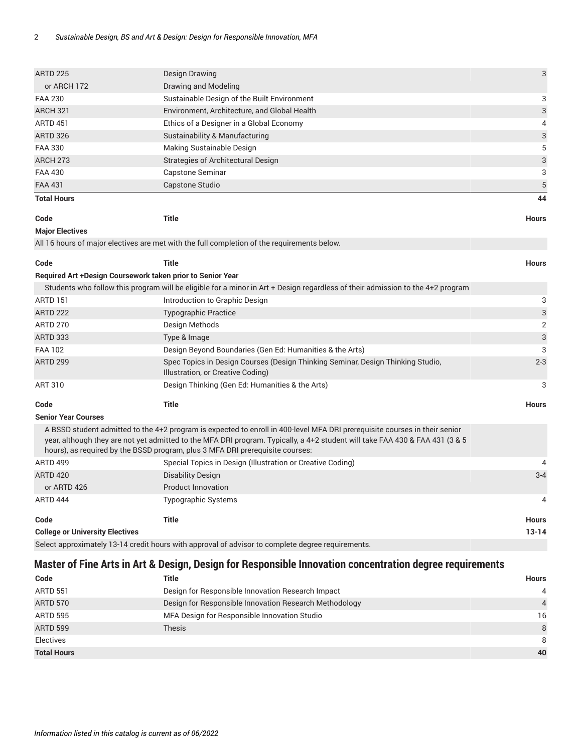| <b>ARTD 225</b>                                            | 3<br><b>Design Drawing</b>                                                                                                                                                                                                                                                                                                                  |              |  |
|------------------------------------------------------------|---------------------------------------------------------------------------------------------------------------------------------------------------------------------------------------------------------------------------------------------------------------------------------------------------------------------------------------------|--------------|--|
| or ARCH 172                                                | Drawing and Modeling                                                                                                                                                                                                                                                                                                                        |              |  |
| <b>FAA 230</b>                                             | Sustainable Design of the Built Environment                                                                                                                                                                                                                                                                                                 |              |  |
| <b>ARCH 321</b>                                            | Environment, Architecture, and Global Health                                                                                                                                                                                                                                                                                                |              |  |
| <b>ARTD 451</b>                                            | Ethics of a Designer in a Global Economy                                                                                                                                                                                                                                                                                                    |              |  |
| <b>ARTD 326</b>                                            | Sustainability & Manufacturing                                                                                                                                                                                                                                                                                                              |              |  |
| <b>FAA 330</b>                                             | Making Sustainable Design                                                                                                                                                                                                                                                                                                                   |              |  |
| <b>ARCH 273</b>                                            | Strategies of Architectural Design                                                                                                                                                                                                                                                                                                          |              |  |
| <b>FAA 430</b>                                             | Capstone Seminar                                                                                                                                                                                                                                                                                                                            |              |  |
| <b>FAA 431</b>                                             | Capstone Studio                                                                                                                                                                                                                                                                                                                             |              |  |
| <b>Total Hours</b>                                         |                                                                                                                                                                                                                                                                                                                                             | 44           |  |
| Code                                                       | <b>Title</b>                                                                                                                                                                                                                                                                                                                                | <b>Hours</b> |  |
| <b>Major Electives</b>                                     |                                                                                                                                                                                                                                                                                                                                             |              |  |
|                                                            | All 16 hours of major electives are met with the full completion of the requirements below.                                                                                                                                                                                                                                                 |              |  |
| Code                                                       | <b>Title</b>                                                                                                                                                                                                                                                                                                                                | <b>Hours</b> |  |
| Required Art +Design Coursework taken prior to Senior Year |                                                                                                                                                                                                                                                                                                                                             |              |  |
|                                                            | Students who follow this program will be eligible for a minor in Art + Design regardless of their admission to the 4+2 program                                                                                                                                                                                                              |              |  |
| <b>ARTD 151</b>                                            | Introduction to Graphic Design                                                                                                                                                                                                                                                                                                              | 3            |  |
| <b>ARTD 222</b>                                            | <b>Typographic Practice</b>                                                                                                                                                                                                                                                                                                                 | $\mathbf{3}$ |  |
| <b>ARTD 270</b>                                            | Design Methods                                                                                                                                                                                                                                                                                                                              |              |  |
| <b>ARTD 333</b>                                            | Type & Image                                                                                                                                                                                                                                                                                                                                |              |  |
| <b>FAA 102</b>                                             | Design Beyond Boundaries (Gen Ed: Humanities & the Arts)                                                                                                                                                                                                                                                                                    |              |  |
| <b>ARTD 299</b>                                            | $2 - 3$<br>Spec Topics in Design Courses (Design Thinking Seminar, Design Thinking Studio,<br>Illustration, or Creative Coding)                                                                                                                                                                                                             |              |  |
| ART 310                                                    | Design Thinking (Gen Ed: Humanities & the Arts)                                                                                                                                                                                                                                                                                             | 3            |  |
|                                                            |                                                                                                                                                                                                                                                                                                                                             |              |  |
| Code                                                       | <b>Title</b>                                                                                                                                                                                                                                                                                                                                | <b>Hours</b> |  |
| <b>Senior Year Courses</b>                                 |                                                                                                                                                                                                                                                                                                                                             |              |  |
|                                                            | A BSSD student admitted to the 4+2 program is expected to enroll in 400-level MFA DRI prerequisite courses in their senior<br>year, although they are not yet admitted to the MFA DRI program. Typically, a 4+2 student will take FAA 430 & FAA 431 (3 & 5<br>hours), as required by the BSSD program, plus 3 MFA DRI prerequisite courses: |              |  |
| <b>ARTD 499</b>                                            | Special Topics in Design (Illustration or Creative Coding)                                                                                                                                                                                                                                                                                  |              |  |
| <b>ARTD 420</b>                                            | <b>Disability Design</b>                                                                                                                                                                                                                                                                                                                    | $3 - 4$      |  |
| or ARTD 426                                                | <b>Product Innovation</b>                                                                                                                                                                                                                                                                                                                   |              |  |
| ARTD 444                                                   | Typographic Systems                                                                                                                                                                                                                                                                                                                         | 4            |  |
| Code                                                       | <b>Title</b>                                                                                                                                                                                                                                                                                                                                | <b>Hours</b> |  |
| <b>College or University Electives</b>                     | $13 - 14$                                                                                                                                                                                                                                                                                                                                   |              |  |
|                                                            | Select approximately 13-14 credit hours with approval of advisor to complete degree requirements.                                                                                                                                                                                                                                           |              |  |
|                                                            | Master of Fine Arts in Art & Design, Design for Responsible Innovation concentration degree requirements                                                                                                                                                                                                                                    |              |  |

| Code               | Title                                                  | <b>Hours</b>   |
|--------------------|--------------------------------------------------------|----------------|
| <b>ARTD 551</b>    | Design for Responsible Innovation Research Impact      | 4              |
| <b>ARTD 570</b>    | Design for Responsible Innovation Research Methodology | $\overline{4}$ |
| ARTD 595           | MFA Design for Responsible Innovation Studio           | 16             |
| <b>ARTD 599</b>    | <b>Thesis</b>                                          | 8              |
| Electives          |                                                        | 8              |
| <b>Total Hours</b> |                                                        | 40             |